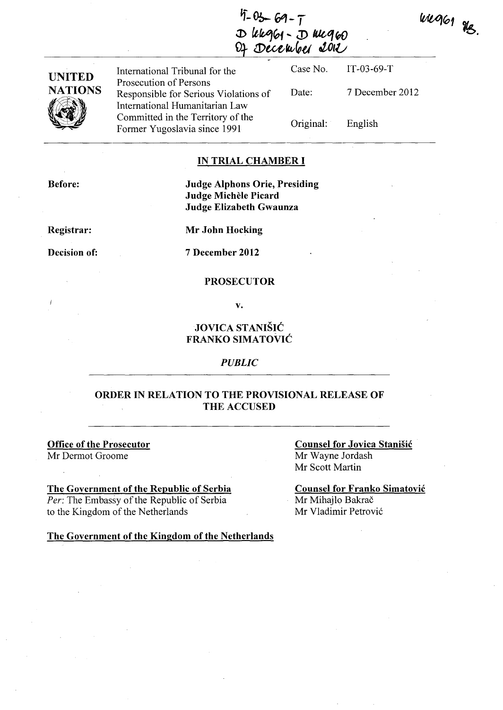weges fe.

 $47 - 03 - 69 - 7$ J) lt~"f'" **J) IIkq** ~ *01* lJ)tU-tlI~lj **02J)Iu** 

**UNITED NATIONS**   $\sqrt{2}$  $\sqrt{4.4}$  International Tribunal for the Prosecution of Persons Responsible for Serious Violations of International Humanitarian Law Committed in the Territory of the Former Yugoslavia since 1991

Case No. Date: Original: IT-03-69-T 7 December 2012 English

# **IN TRIAL CHAMBER I**

**Before:** 

**Judge Alphons Orie, Presiding Judge MicheIe Picard Judge Elizabeth Gwaunza** 

**Registrar:** 

**Decision of:** 

**Mr John Hocking** 

7 **December 2012** 

#### **PROSECUTOR**

**v.** 

# **JOVICA STANIŠIĆ FRANKO SIMATOVIC**

*PUBLIC* 

### **ORDER IN RELATION TO THE PROVISIONAL RELEASE OF**  THE ACCUSED

**Office of the Prosecutor**  Mr Dermot Groome

**The Government of the Republic of Serbia**  *Per:* The Embassy of the Republic of Serbia to the Kingdom of the Netherlands

**Counsel for Jovica Stanisic**   $\overline{Mr}$  Wayne Jordash Mr Scott Martin

**Counsel for Franko Simatovic**  Mr Mihajlo Bakrač Mr Vladimir Petrovi6

**The Government of the Kingdom of the Netherlands**